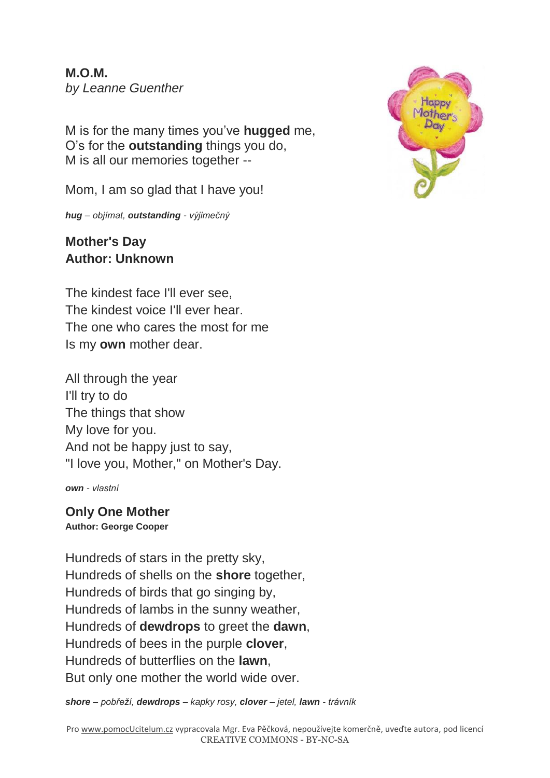**M.O.M.** *by Leanne Guenther*

M is for the many times you've **hugged** me, O's for the **outstanding** things you do, M is all our memories together --

Mom, I am so glad that I have you!

*hug – objímat, outstanding - výjimečný*

## **Mother's Day Author: Unknown**

The kindest face I'll ever see, The kindest voice I'll ever hear. The one who cares the most for me Is my **own** mother dear.

All through the year I'll try to do The things that show My love for you. And not be happy just to say, "I love you, Mother," on Mother's Day.

*own - vlastní*

**Only One Mother Author: George Cooper**

Hundreds of stars in the pretty sky, Hundreds of shells on the **shore** together, Hundreds of birds that go singing by, Hundreds of lambs in the sunny weather, Hundreds of **dewdrops** to greet the **dawn**, Hundreds of bees in the purple **clover**, Hundreds of butterflies on the **lawn**, But only one mother the world wide over.

*shore – pobřeží, dewdrops – kapky rosy, clover – jetel, lawn - trávník*